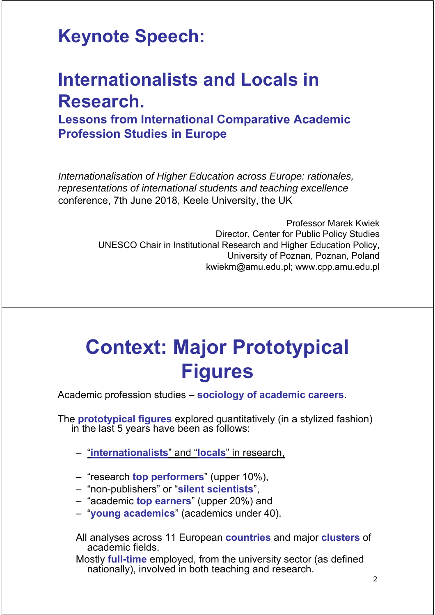#### **Keynote Speech:**

## **Internationalists and Locals in Research.**

**Lessons from International Comparative Academic Profession Studies in Europe**

*Internationalisation of Higher Education across Europe: rationales, representations of international students and teaching excellence* conference, 7th June 2018, Keele University, the UK

> Professor Marek Kwiek Director, Center for Public Policy Studies UNESCO Chair in Institutional Research and Higher Education Policy, University of Poznan, Poznan, Poland kwiekm@amu.edu.pl; www.cpp.amu.edu.pl

# **Context: Major Prototypical Figures**

Academic profession studies – **sociology of academic careers**.

The **prototypical figures** explored quantitatively (in a stylized fashion) in the last 5 years have been as follows:

– "**internationalists**" and "**locals**" in research,

- "research **top performers**" (upper 10%),
- "non-publishers" or "**silent scientists**",
- "academic **top earners**" (upper 20%) and
- "**young academics**" (academics under 40).
- All analyses across 11 European **countries** and major **clusters** of academic fields.

Mostly **full-time** employed, from the university sector (as defined nationally), involved in both teaching and research.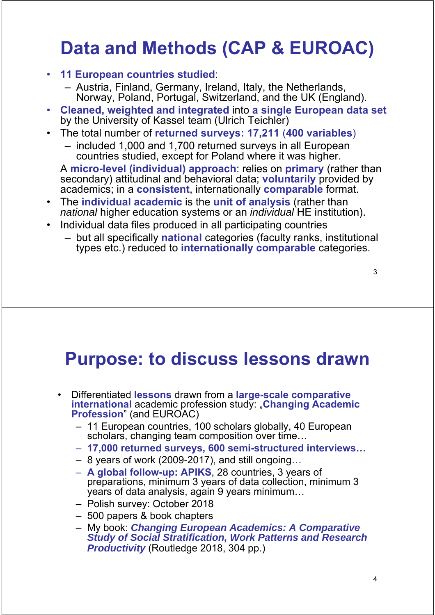# **Data and Methods (CAP & EUROAC)**

- **11 European countries studied**:
	- Austria, Finland, Germany, Ireland, Italy, the Netherlands, Norway, Poland, Portugal, Switzerland, and the UK (England).
- **Cleaned, weighted and integrated** into **a single European data set** by the University of Kassel team (Ulrich Teichler)
- The total number of **returned surveys: 17,211** (**400 variables**)
	- included 1,000 and 1,700 returned surveys in all European countries studied, except for Poland where it was higher.

A **micro-level (individual) approach**: relies on **primary** (rather than secondary) attitudinal and behavioral data; **voluntarily** provided by academics; in a **consistent**, internationally **comparable** format.

- The **individual academic** is the **unit of analysis** (rather than *national* higher education systems or an *individual* HE institution).
- Individual data files produced in all participating countries
	- but all specifically **national** categories (faculty ranks, institutional types etc.) reduced to **internationally comparable** categories.

3

#### **Purpose: to discuss lessons drawn**

- Differentiated **lessons** drawn from a **large-scale comparative international** academic profession study: "**Changing Academic Profession**" (and EUROAC)
	- 11 European countries, 100 scholars globally, 40 European scholars, changing team composition over time...
	- **17,000 returned surveys, 600 semi-structured interviews…**
	- 8 years of work (2009-2017), and still ongoing…
	- **A global follow-up: APIKS**, 28 countries, 3 years of preparations, minimum 3 years of data collection, minimum 3 years of data analysis, again 9 years minimum…
	- Polish survey: October 2018
	- 500 papers & book chapters
	- My book: *Changing European Academics: A Comparative Study of Social Stratification, Work Patterns and Research Productivity* (Routledge 2018, 304 pp.)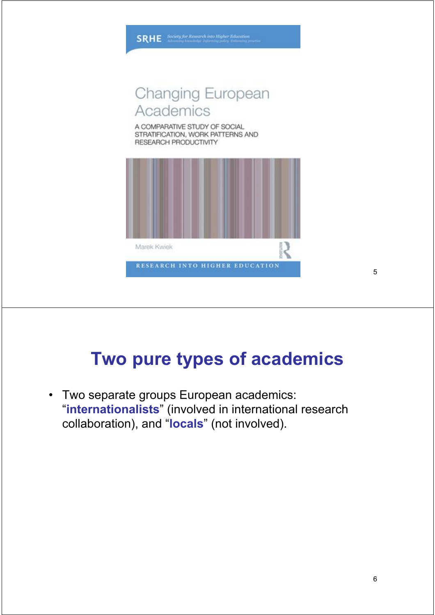

**SRHE** Society for Research into Higher Education

## **Two pure types of academics**

• Two separate groups European academics: "**internationalists**" (involved in international research collaboration), and "**locals**" (not involved).

5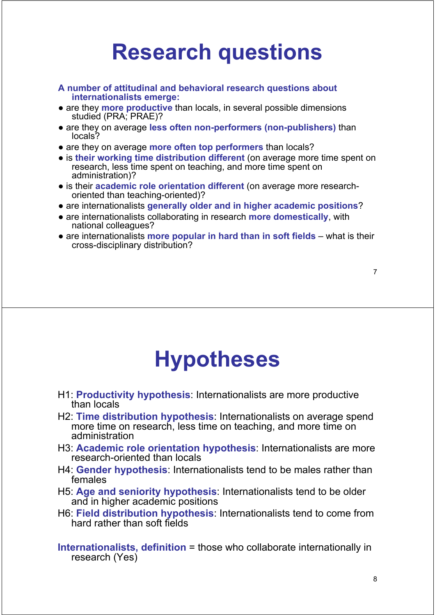# **Research questions**

- **A number of attitudinal and behavioral research questions about internationalists emerge:**
- are they **more productive** than locals, in several possible dimensions studied (PRA; PRAE)?
- are they on average **less often non-performers (non-publishers)** than locals?
- are they on average **more often top performers** than locals?
- is **their working time distribution different** (on average more time spent on research, less time spent on teaching, and more time spent on administration)?
- is their **academic role orientation different** (on average more researchoriented than teaching-oriented)?
- are internationalists **generally older and in higher academic positions**?
- are internationalists collaborating in research **more domestically**, with national colleagues?
- are internationalists **more popular in hard than in soft fields** what is their cross-disciplinary distribution?

7

# **Hypotheses**

- H1: **Productivity hypothesis**: Internationalists are more productive than locals
- H2: **Time distribution hypothesis**: Internationalists on average spend more time on research, less time on teaching, and more time on administration
- H3: **Academic role orientation hypothesis**: Internationalists are more research-oriented than locals
- H4: **Gender hypothesis**: Internationalists tend to be males rather than females
- H5: **Age and seniority hypothesis**: Internationalists tend to be older and in higher academic positions
- H6: **Field distribution hypothesis**: Internationalists tend to come from hard rather than soft fields
- **Internationalists, definition** = those who collaborate internationally in research (Yes)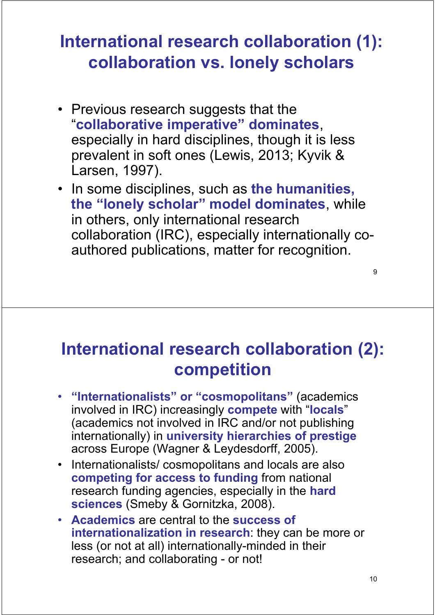#### **International research collaboration (1): collaboration vs. lonely scholars**

- Previous research suggests that the "**collaborative imperative" dominates**, especially in hard disciplines, though it is less prevalent in soft ones (Lewis, 2013; Kyvik & Larsen, 1997).
- In some disciplines, such as **the humanities, the "lonely scholar" model dominates**, while in others, only international research collaboration (IRC), especially internationally coauthored publications, matter for recognition.

**International research collaboration (2): competition**

- **"Internationalists" or "cosmopolitans"** (academics involved in IRC) increasingly **compete** with "**locals**" (academics not involved in IRC and/or not publishing internationally) in **university hierarchies of prestige** across Europe (Wagner & Leydesdorff, 2005).
- Internationalists/ cosmopolitans and locals are also **competing for access to funding** from national research funding agencies, especially in the **hard sciences** (Smeby & Gornitzka, 2008).
- **Academics** are central to the **success of internationalization in research**: they can be more or less (or not at all) internationally-minded in their research; and collaborating - or not!

9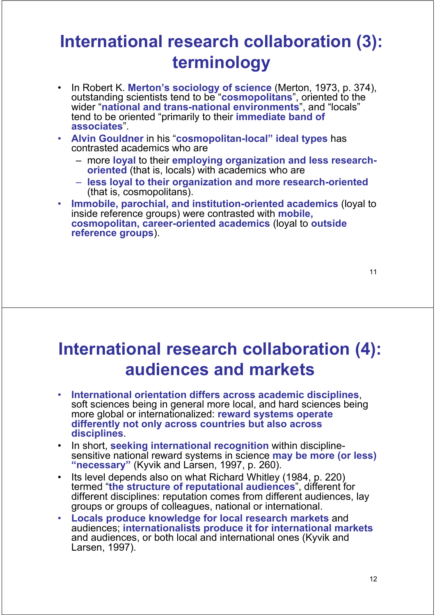#### **International research collaboration (3): terminology**

- In Robert K. **Merton's sociology of science** (Merton, 1973, p. 374), outstanding scientists tend to be "**cosmopolitans**", oriented to the wider "**national and trans-national environments**", and "locals" tend to be oriented "primarily to their **immediate band of associates**".
- **Alvin Gouldner** in his "**cosmopolitan-local" ideal types** has contrasted academics who are
	- more **loyal** to their **employing organization and less researchoriented** (that is, locals) with academics who are
	- **less loyal to their organization and more research-oriented** (that is, cosmopolitans).
- **Immobile, parochial, and institution-oriented academics** (loyal to inside reference groups) were contrasted with **mobile, cosmopolitan, career-oriented academics** (loyal to **outside reference groups**).

#### **International research collaboration (4): audiences and markets**

- **International orientation differs across academic disciplines**, soft sciences being in general more local, and hard sciences being more global or internationalized: **reward systems operate differently not only across countries but also across disciplines**.
- In short, **seeking international recognition** within disciplinesensitive national reward systems in science **may be more (or less) "necessary"** (Kyvik and Larsen, 1997, p. 260).
- Its level depends also on what Richard Whitley (1984, p. 220) termed "**the structure of reputational audiences**", different for different disciplines: reputation comes from different audiences, lay groups or groups of colleagues, national or international.
- **Locals produce knowledge for local research markets** and audiences; **internationalists produce it for international markets** and audiences, or both local and international ones (Kyvik and Larsen, 1997).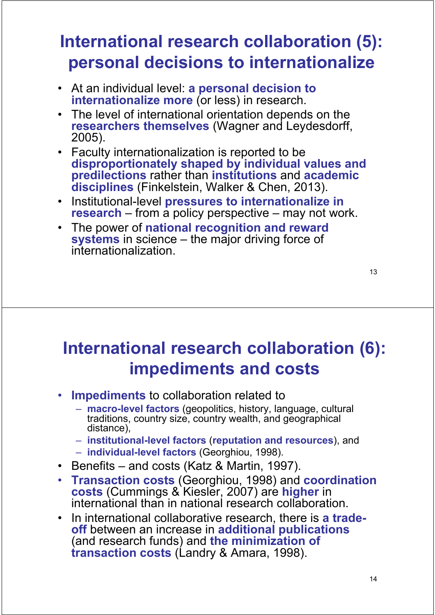#### **International research collaboration (5): personal decisions to internationalize**

- At an individual level: **a personal decision to internationalize more** (or less) in research.
- The level of international orientation depends on the **researchers themselves** (Wagner and Leydesdorff, 2005).
- Faculty internationalization is reported to be **disproportionately shaped by individual values and predilections** rather than **institutions** and **academic disciplines** (Finkelstein, Walker & Chen, 2013).
- Institutional-level **pressures to internationalize in research** – from a policy perspective – may not work.
- The power of **national recognition and reward systems** in science – the major driving force of internationalization.

13

#### **International research collaboration (6): impediments and costs**

- **Impediments** to collaboration related to
	- **macro-level factors** (geopolitics, history, language, cultural traditions, country size, country wealth, and geographical distance),
	- **institutional-level factors** (**reputation and resources**), and
	- **individual-level factors** (Georghiou, 1998).
- Benefits and costs (Katz & Martin, 1997).
- **Transaction costs** (Georghiou, 1998) and **coordination costs** (Cummings & Kiesler, 2007) are **higher** in international than in national research collaboration.
- In international collaborative research, there is **a tradeoff** between an increase in **additional publications** (and research funds) and **the minimization of transaction costs** (Landry & Amara, 1998).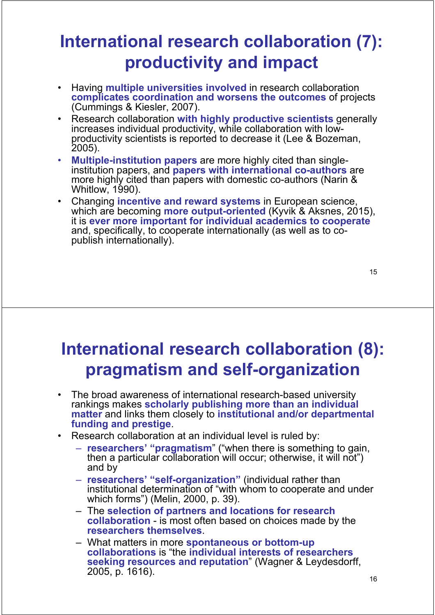#### **International research collaboration (7): productivity and impact**

- Having **multiple universities involved** in research collaboration **complicates coordination and worsens the outcomes** of projects (Cummings & Kiesler, 2007).
- Research collaboration **with highly productive scientists** generally increases individual productivity, while collaboration with low- productivity scientists is reported to decrease it (Lee & Bozeman, 2005).
- **Multiple-institution papers** are more highly cited than singleinstitution papers, and **papers with international co-authors** are more highly cited than papers with domestic co-authors (Narin & Whitlow, 1990).
- Changing **incentive and reward systems** in European science, which are becoming **more output-oriented** (Kyvik & Aksnes, 2015), it is **ever more important for individual academics to cooperate** and, specifically, to cooperate internationally (as well as to copublish internationally).

15

#### **International research collaboration (8): pragmatism and self-organization**

- The broad awareness of international research-based university rankings makes **scholarly publishing more than an individual matter** and links them closely to **institutional and/or departmental funding and prestige**.
- Research collaboration at an individual level is ruled by:
	- **researchers' "pragmatism**" ("when there is something to gain, then a particular collaboration will occur; otherwise, it will not") and by
	- **researchers' "self-organization"** (individual rather than institutional determination of "with whom to cooperate and under which forms") (Melin, 2000, p. 39).
	- The **selection of partners and locations for research collaboration** - is most often based on choices made by the **researchers themselves**.
	- What matters in more **spontaneous or bottom-up collaborations** is "the **individual interests of researchers seeking resources and reputation**" (Wagner & Leydesdorff, 2005, p. 1616).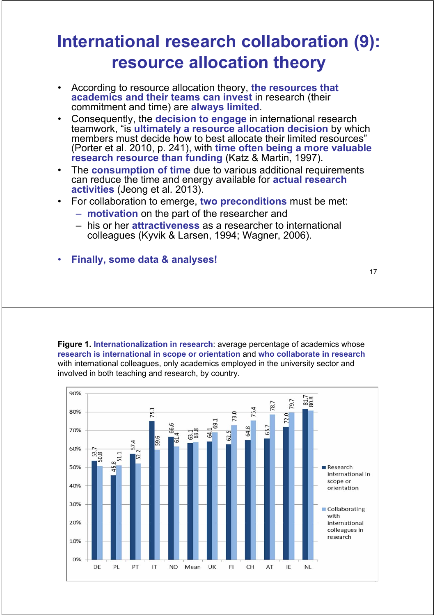#### **International research collaboration (9): resource allocation theory**

- According to resource allocation theory, **the resources that academics and their teams can invest** in research (their commitment and time) are **always limited**.
- Consequently, the **decision to engage** in international research teamwork, "is **ultimately a resource allocation decision** by which members must decide how to best allocate their limited resources' (Porter et al. 2010, p. 241), with **time often being a more valuable research resource than funding** (Katz & Martin, 1997).
- The **consumption of time** due to various additional requirements can reduce the time and energy available for **actual research activities** (Jeong et al. 2013).
- For collaboration to emerge, **two preconditions** must be met:
	- **motivation** on the part of the researcher and
	- his or her **attractiveness** as a researcher to international colleagues (Kyvik & Larsen, 1994; Wagner, 2006).
- **Finally, some data & analyses!**

**Figure 1. Internationalization in research**: average percentage of academics whose **research is international in scope or orientation** and **who collaborate in research** with international colleagues, only academics employed in the university sector and involved in both teaching and research, by country.

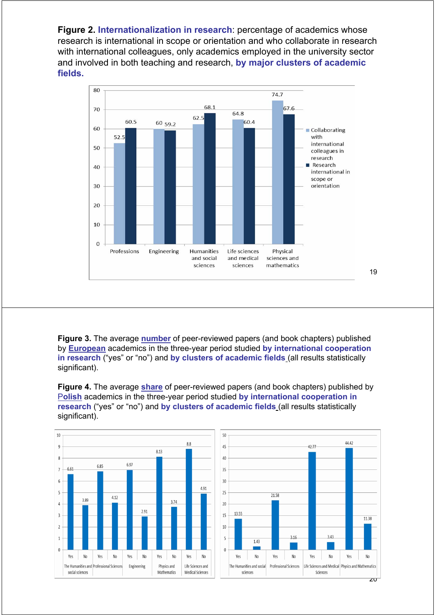**Figure 2. Internationalization in research**: percentage of academics whose research is international in scope or orientation and who collaborate in research with international colleagues, only academics employed in the university sector and involved in both teaching and research, **by major clusters of academic fields.**



**Figure 3.** The average **number** of peer-reviewed papers (and book chapters) published by **European** academics in the three-year period studied **by international cooperation in research** ("yes" or "no") and **by clusters of academic fields** (all results statistically significant).

**Figure 4.** The average **share** of peer-reviewed papers (and book chapters) published by P**olish** academics in the three-year period studied **by international cooperation in research** ("yes" or "no") and **by clusters of academic fields** (all results statistically significant).



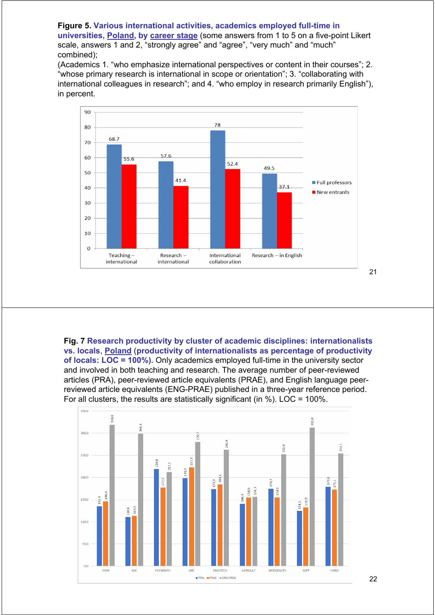#### **Figure 5. Various international activities, academics employed full-time in universities, Poland, by career stage** (some answers from 1 to 5 on a five-point Likert scale, answers 1 and 2, "strongly agree" and "agree", "very much" and "much" combined);

(Academics 1. "who emphasize international perspectives or content in their courses"; 2. "whose primary research is international in scope or orientation"; 3. "collaborating with international colleagues in research"; and 4. "who employ in research primarily English"), in percent.



**Fig. 7 Research productivity by cluster of academic disciplines: internationalists vs. locals**, **Poland** (**productivity of internationalists as percentage of productivity of locals: LOC = 100%).** Only academics employed full-time in the university sector and involved in both teaching and research. The average number of peer-reviewed articles (PRA), peer-reviewed article equivalents (PRAE), and English language peerreviewed article equivalents (ENG-PRAE) published in a three-year reference period. For all clusters, the results are statistically significant (in  $%$ ). LOC = 100%.

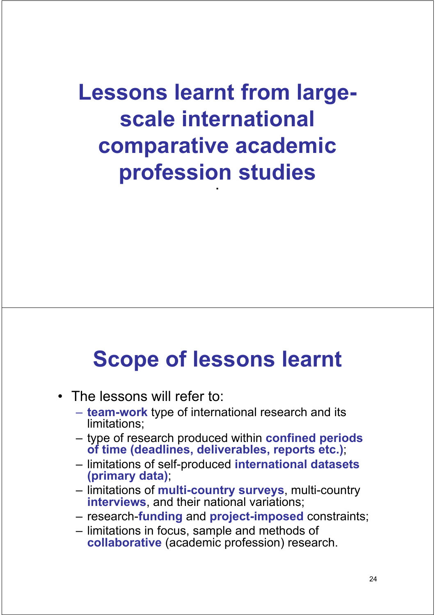**Lessons learnt from largescale international comparative academic profession studies** .

# **Scope of lessons learnt**

- The lessons will refer to:
	- **team-work** type of international research and its limitations;
	- type of research produced within **confined periods of time (deadlines, deliverables, reports etc.)**;
	- limitations of self-produced **international datasets (primary data)**;
	- limitations of **multi-country surveys**, multi-country **interviews**, and their national variations;
	- research-**funding** and **project-imposed** constraints;
	- limitations in focus, sample and methods of **collaborative** (academic profession) research.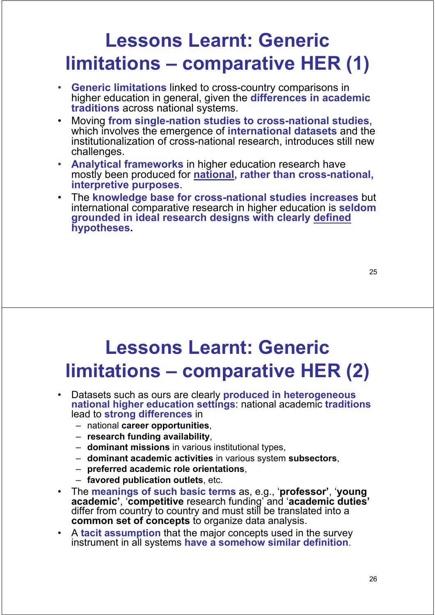# **Lessons Learnt: Generic limitations – comparative HER (1)**

- **Generic limitations** linked to cross-country comparisons in higher education in general, given the **differences in academic traditions** across national systems.
- Moving **from single-nation studies to cross-national studies**, which involves the emergence of **international datasets** and the institutionalization of cross-national research, introduces still new challenges.
- **Analytical frameworks** in higher education research have mostly been produced for **national, rather than cross-national, interpretive purposes**.
- The **knowledge base for cross-national studies increases** but international comparative research in higher education is **seldom grounded in ideal research designs with clearly defined hypotheses.**

## **Lessons Learnt: Generic limitations – comparative HER (2)**

- Datasets such as ours are clearly **produced in heterogeneous national higher education settings**: national academic **traditions** lead to **strong differences** in
	- national **career opportunities**,
	- **research funding availability**,
	- **dominant missions** in various institutional types,
	- **dominant academic activities** in various system **subsectors**,
	- **preferred academic role orientations**,
	- **favored publication outlets**, etc.
- The **meanings of such basic terms** as, e.g., '**professor'**, '**young academic'**, '**competitive** research funding' and '**academic duties'** differ from country to country and must still be translated into a **common set of concepts** to organize data analysis.
- A **tacit assumption** that the major concepts used in the survey instrument in all systems **have a somehow similar definition**.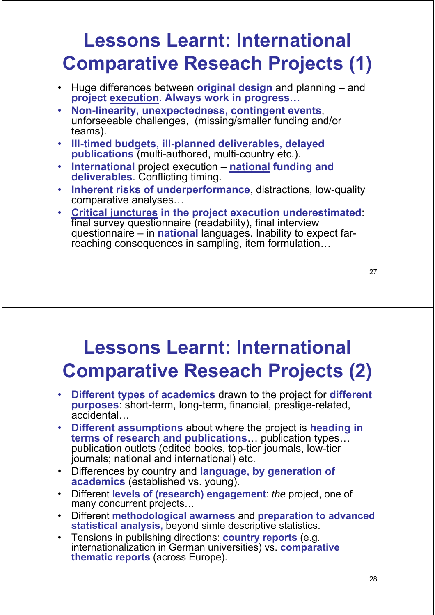# **Lessons Learnt: International Comparative Reseach Projects (1)**

- Huge differences between **original design** and planning and **project execution. Always work in progress…**
- **Non-linearity, unexpectedness, contingent events**, unforseeable challenges, (missing/smaller funding and/or teams).
- **Ill-timed budgets, ill-planned deliverables, delayed publications** (multi-authored, multi-country etc.).
- **International** project execution **national funding and deliverables**. Conflicting timing.
- **Inherent risks of underperformance**, distractions, low-quality comparative analyses…
- **Critical junctures in the project execution underestimated**: final survey questionnaire (readability), final interview questionnaire – in **national** languages. Inability to expect farreaching consequences in sampling, item formulation…

27

## **Lessons Learnt: International Comparative Reseach Projects (2)**

- **Different types of academics** drawn to the project for **different purposes**: short-term, long-term, financial, prestige-related, accidental…
- **Different assumptions** about where the project is **heading in terms of research and publications**… publication types… publication outlets (edited books, top-tier journals, low-tier journals; national and international) etc.
- Differences by country and **language, by generation of academics** (established vs. young).
- Different **levels of (research) engagement**: *the* project, one of many concurrent projects...
- Different **methodological awarness** and **preparation to advanced statistical analysis,** beyond simle descriptive statistics.
- Tensions in publishing directions: **country reports** (e.g. internationalization in German universities) vs. **comparative thematic reports** (across Europe).